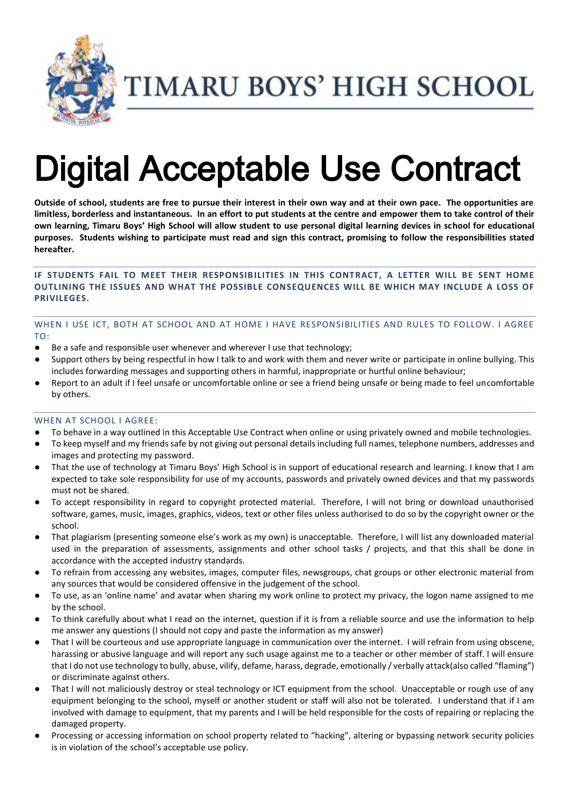

TIMARU BOYS' HIGH SCHOOL

# Digital Acceptable Use Contract

**Outside of school, students are free to pursue their interest in their own way and at their own pace. The opportunities are limitless, borderless and instantaneous. In an effort to put students at the centre and empower them to take control of their own learning, Timaru Boys' High School will allow student to use personal digital learning devices in school for educational purposes. Students wishing to participate must read and sign this contract, promising to follow the responsibilities stated hereafter.**

## **IF STUDENTS FAIL TO MEET THEIR RESPONSIBILITIES IN THIS CONTRACT, A LETTER WILL BE SENT HOME OUTLINING THE ISSUES AND WHAT THE POSSIBLE CONSEQUENCES WILL BE WHICH MAY INCLUDE A LOSS OF PRIVILEGES.**

## WHEN I USE ICT, BOTH AT SCHOOL AND AT HOME I HAVE RESPONSIBILITIES AND RULES TO FOLLOW. I AGREE TO:

- Be a safe and responsible user whenever and wherever I use that technology;
- Support others by being respectful in how I talk to and work with them and never write or participate in online bullying. This includes forwarding messages and supporting others in harmful, inappropriate or hurtful online behaviour;
- Report to an adult if I feel unsafe or uncomfortable online or see a friend being unsafe or being made to feel uncomfortable by others.

#### WHEN AT SCHOOL I AGREE:

- To behave in a way outlined in this Acceptable Use Contract when online or using privately owned and mobile technologies.
- To keep myself and my friends safe by not giving out personal details including full names, telephone numbers, addresses and images and protecting my password.
- That the use of technology at Timaru Boys' High School is in support of educational research and learning. I know that I am expected to take sole responsibility for use of my accounts, passwords and privately owned devices and that my passwords must not be shared.
- To accept responsibility in regard to copyright protected material. Therefore, I will not bring or download unauthorised software, games, music, images, graphics, videos, text or other files unless authorised to do so by the copyright owner or the school.
- That plagiarism (presenting someone else's work as my own) is unacceptable. Therefore, I will list any downloaded material used in the preparation of assessments, assignments and other school tasks / projects, and that this shall be done in accordance with the accepted industry standards.
- To refrain from accessing any websites, images, computer files, newsgroups, chat groups or other electronic material from any sources that would be considered offensive in the judgement of the school.
- To use, as an 'online name' and avatar when sharing my work online to protect my privacy, the logon name assigned to me by the school.
- To think carefully about what I read on the internet, question if it is from a reliable source and use the information to help me answer any questions (I should not copy and paste the information as my answer)
- That I will be courteous and use appropriate language in communication over the internet. I will refrain from using obscene, harassing or abusive language and will report any such usage against me to a teacher or other member of staff. I will ensure that I do not use technology to bully, abuse, vilify, defame, harass, degrade, emotionally / verbally attack(also called "flaming") or discriminate against others.
- That I will not maliciously destroy or steal technology or ICT equipment from the school. Unacceptable or rough use of any equipment belonging to the school, myself or another student or staff will also not be tolerated. I understand that if I am involved with damage to equipment, that my parents and I will be held responsible for the costs of repairing or replacing the damaged property.
- Processing or accessing information on school property related to "hacking", altering or bypassing network security policies is in violation of the school's acceptable use policy.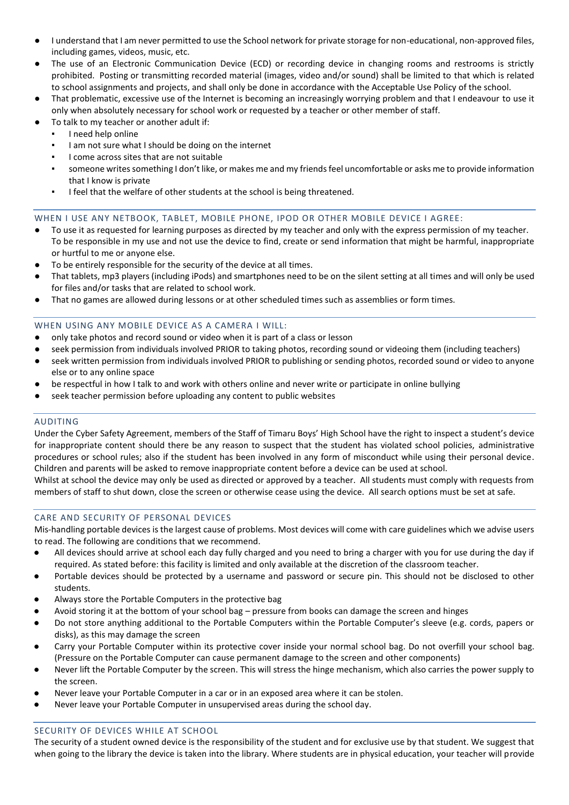- I understand that I am never permitted to use the School network for private storage for non-educational, non-approved files, including games, videos, music, etc.
- The use of an Electronic Communication Device (ECD) or recording device in changing rooms and restrooms is strictly prohibited. Posting or transmitting recorded material (images, video and/or sound) shall be limited to that which is related to school assignments and projects, and shall only be done in accordance with the Acceptable Use Policy of the school.
- That problematic, excessive use of the Internet is becoming an increasingly worrying problem and that I endeavour to use it only when absolutely necessary for school work or requested by a teacher or other member of staff.
- To talk to my teacher or another adult if:
	- I need help online
	- I am not sure what I should be doing on the internet
	- I come across sites that are not suitable
	- someone writes something I don't like, or makes me and my friends feel uncomfortable or asks me to provide information that I know is private
	- I feel that the welfare of other students at the school is being threatened.

#### WHEN I USE ANY NETBOOK, TABLET, MOBILE PHONE, IPOD OR OTHER MOBILE DEVICE I AGREE:

- To use it as requested for learning purposes as directed by my teacher and only with the express permission of my teacher. To be responsible in my use and not use the device to find, create or send information that might be harmful, inappropriate or hurtful to me or anyone else.
- To be entirely responsible for the security of the device at all times.
- That tablets, mp3 players (including iPods) and smartphones need to be on the silent setting at all times and will only be used for files and/or tasks that are related to school work.
- That no games are allowed during lessons or at other scheduled times such as assemblies or form times.

## WHEN USING ANY MOBILE DEVICE AS A CAMERA I WILL:

- only take photos and record sound or video when it is part of a class or lesson
- seek permission from individuals involved PRIOR to taking photos, recording sound or videoing them (including teachers)
- seek written permission from individuals involved PRIOR to publishing or sending photos, recorded sound or video to anyone else or to any online space
- be respectful in how I talk to and work with others online and never write or participate in online bullying
- seek teacher permission before uploading any content to public websites

#### AUDITING

Under the Cyber Safety Agreement, members of the Staff of Timaru Boys' High School have the right to inspect a student's device for inappropriate content should there be any reason to suspect that the student has violated school policies, administrative procedures or school rules; also if the student has been involved in any form of misconduct while using their personal device. Children and parents will be asked to remove inappropriate content before a device can be used at school.

Whilst at school the device may only be used as directed or approved by a teacher. All students must comply with requests from members of staff to shut down, close the screen or otherwise cease using the device. All search options must be set at safe.

#### CARE AND SECURITY OF PERSONAL DEVICES

Mis-handling portable devices is the largest cause of problems. Most devices will come with care guidelines which we advise users to read. The following are conditions that we recommend.

- All devices should arrive at school each day fully charged and you need to bring a charger with you for use during the day if required. As stated before: this facility is limited and only available at the discretion of the classroom teacher.
- Portable devices should be protected by a username and password or secure pin. This should not be disclosed to other students.
- Always store the Portable Computers in the protective bag
- Avoid storing it at the bottom of your school bag pressure from books can damage the screen and hinges
- Do not store anything additional to the Portable Computers within the Portable Computer's sleeve (e.g. cords, papers or disks), as this may damage the screen
- Carry your Portable Computer within its protective cover inside your normal school bag. Do not overfill your school bag. (Pressure on the Portable Computer can cause permanent damage to the screen and other components)
- Never lift the Portable Computer by the screen. This will stress the hinge mechanism, which also carries the power supply to the screen.
- Never leave your Portable Computer in a car or in an exposed area where it can be stolen.
- Never leave your Portable Computer in unsupervised areas during the school day.

## SECURITY OF DEVICES WHILE AT SCHOOL

The security of a student owned device is the responsibility of the student and for exclusive use by that student. We suggest that when going to the library the device is taken into the library. Where students are in physical education, your teacher will provide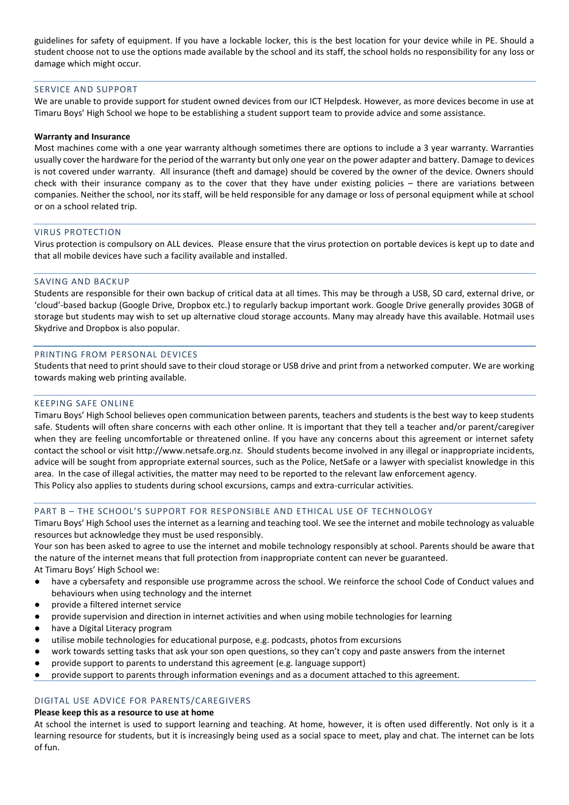guidelines for safety of equipment. If you have a lockable locker, this is the best location for your device while in PE. Should a student choose not to use the options made available by the school and its staff, the school holds no responsibility for any loss or damage which might occur.

#### SERVICE AND SUPPORT

We are unable to provide support for student owned devices from our ICT Helpdesk. However, as more devices become in use at Timaru Boys' High School we hope to be establishing a student support team to provide advice and some assistance.

#### **Warranty and Insurance**

Most machines come with a one year warranty although sometimes there are options to include a 3 year warranty. Warranties usually cover the hardware for the period of the warranty but only one year on the power adapter and battery. Damage to devices is not covered under warranty. All insurance (theft and damage) should be covered by the owner of the device. Owners should check with their insurance company as to the cover that they have under existing policies – there are variations between companies. Neither the school, nor its staff, will be held responsible for any damage or loss of personal equipment while at school or on a school related trip.

#### VIRUS PROTECTION

Virus protection is compulsory on ALL devices. Please ensure that the virus protection on portable devices is kept up to date and that all mobile devices have such a facility available and installed.

#### SAVING AND BACKUP

Students are responsible for their own backup of critical data at all times. This may be through a USB, SD card, external drive, or 'cloud'-based backup (Google Drive, Dropbox etc.) to regularly backup important work. Google Drive generally provides 30GB of storage but students may wish to set up alternative cloud storage accounts. Many may already have this available. Hotmail uses Skydrive and Dropbox is also popular.

#### PRINTING FROM PERSONAL DEVICES

Students that need to print should save to their cloud storage or USB drive and print from a networked computer. We are working towards making web printing available.

#### KEEPING SAFE ONLINE

Timaru Boys' High School believes open communication between parents, teachers and students is the best way to keep students safe. Students will often share concerns with each other online. It is important that they tell a teacher and/or parent/caregiver when they are feeling uncomfortable or threatened online. If you have any concerns about this agreement or internet safety contact the school or visit http://www.netsafe.org.nz. Should students become involved in any illegal or inappropriate incidents, advice will be sought from appropriate external sources, such as the Police, NetSafe or a lawyer with specialist knowledge in this area. In the case of illegal activities, the matter may need to be reported to the relevant law enforcement agency.

This Policy also applies to students during school excursions, camps and extra-curricular activities.

#### PART B – THE SCHOOL'S SUPPORT FOR RESPONSIBLE AND ETHICAL USE OF TECHNOLOGY

Timaru Boys' High School uses the internet as a learning and teaching tool. We see the internet and mobile technology as valuable resources but acknowledge they must be used responsibly.

Your son has been asked to agree to use the internet and mobile technology responsibly at school. Parents should be aware that the nature of the internet means that full protection from inappropriate content can never be guaranteed. At Timaru Boys' High School we:

- have a cybersafety and responsible use programme across the school. We reinforce the school Code of Conduct values and behaviours when using technology and the internet
- provide a filtered internet service
- provide supervision and direction in internet activities and when using mobile technologies for learning
- have a Digital Literacy program
- utilise mobile technologies for educational purpose, e.g. podcasts, photos from excursions
- work towards setting tasks that ask your son open questions, so they can't copy and paste answers from the internet
- provide support to parents to understand this agreement (e.g. language support)
- provide support to parents through information evenings and as a document attached to this agreement.

#### DIGITAL USE ADVICE FOR PARENTS/CAREGIVERS

#### **Please keep this as a resource to use at home**

At school the internet is used to support learning and teaching. At home, however, it is often used differently. Not only is it a learning resource for students, but it is increasingly being used as a social space to meet, play and chat. The internet can be lots of fun.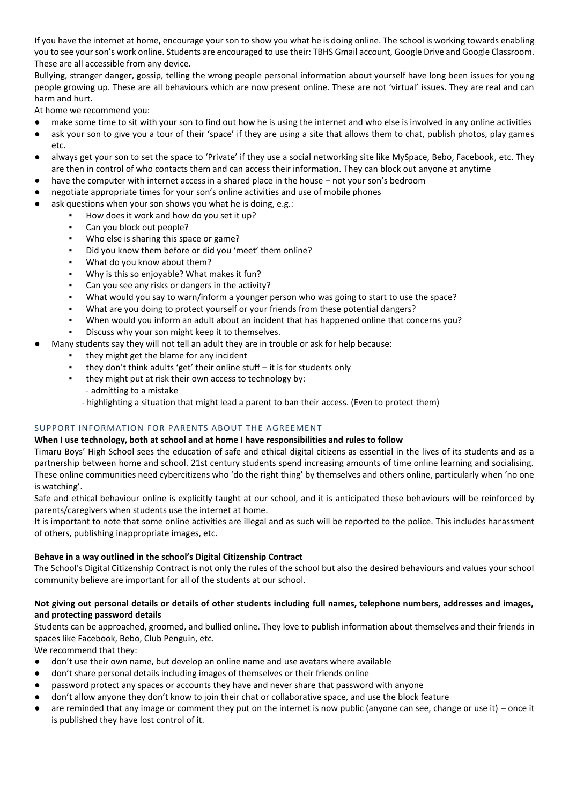If you have the internet at home, encourage your son to show you what he is doing online. The school is working towards enabling you to see your son's work online. Students are encouraged to use their: TBHS Gmail account, Google Drive and Google Classroom. These are all accessible from any device.

Bullying, stranger danger, gossip, telling the wrong people personal information about yourself have long been issues for young people growing up. These are all behaviours which are now present online. These are not 'virtual' issues. They are real and can harm and hurt.

At home we recommend you:

- make some time to sit with your son to find out how he is using the internet and who else is involved in any online activities
- ask your son to give you a tour of their 'space' if they are using a site that allows them to chat, publish photos, play games etc.
- always get your son to set the space to 'Private' if they use a social networking site like MySpace, Bebo, Facebook, etc. They are then in control of who contacts them and can access their information. They can block out anyone at anytime
- have the computer with internet access in a shared place in the house not your son's bedroom
- negotiate appropriate times for your son's online activities and use of mobile phones
- ask questions when your son shows you what he is doing, e.g.:
	- How does it work and how do you set it up?<br>■ Can you block out people?
		- Can you block out people?
		- Who else is sharing this space or game?
		- Did you know them before or did you 'meet' them online?
		- What do you know about them?
		- Why is this so enjoyable? What makes it fun?
		- Can you see any risks or dangers in the activity?
		- What would you say to warn/inform a younger person who was going to start to use the space?
		- What are you doing to protect yourself or your friends from these potential dangers?
		- When would you inform an adult about an incident that has happened online that concerns you?
		- Discuss why your son might keep it to themselves.
- Many students say they will not tell an adult they are in trouble or ask for help because:
	- they might get the blame for any incident
	- they don't think adults 'get' their online stuff  $-$  it is for students only
	- they might put at risk their own access to technology by:
	- admitting to a mistake
	- highlighting a situation that might lead a parent to ban their access. (Even to protect them)

#### SUPPORT INFORMATION FOR PARENTS ABOUT THE AGREEMENT

#### **When I use technology, both at school and at home I have responsibilities and rules to follow**

Timaru Boys' High School sees the education of safe and ethical digital citizens as essential in the lives of its students and as a partnership between home and school. 21st century students spend increasing amounts of time online learning and socialising. These online communities need cybercitizens who 'do the right thing' by themselves and others online, particularly when 'no one is watching'.

Safe and ethical behaviour online is explicitly taught at our school, and it is anticipated these behaviours will be reinforced by parents/caregivers when students use the internet at home.

It is important to note that some online activities are illegal and as such will be reported to the police. This includes harassment of others, publishing inappropriate images, etc.

#### **Behave in a way outlined in the school's Digital Citizenship Contract**

The School's Digital Citizenship Contract is not only the rules of the school but also the desired behaviours and values your school community believe are important for all of the students at our school.

#### **Not giving out personal details or details of other students including full names, telephone numbers, addresses and images, and protecting password details**

Students can be approached, groomed, and bullied online. They love to publish information about themselves and their friends in spaces like Facebook, Bebo, Club Penguin, etc.

We recommend that they:

- don't use their own name, but develop an online name and use avatars where available
- don't share personal details including images of themselves or their friends online
- password protect any spaces or accounts they have and never share that password with anyone
- don't allow anyone they don't know to join their chat or collaborative space, and use the block feature
- $\bullet$  are reminded that any image or comment they put on the internet is now public (anyone can see, change or use it) once it is published they have lost control of it.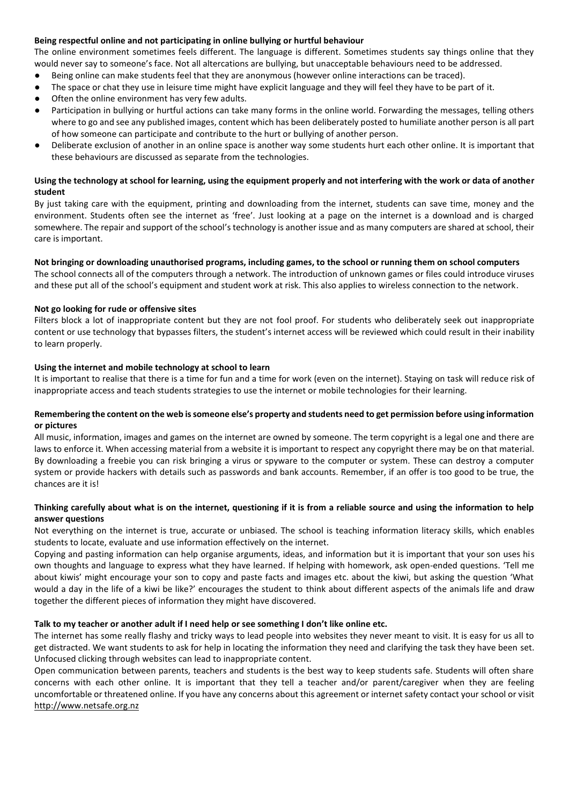#### **Being respectful online and not participating in online bullying or hurtful behaviour**

The online environment sometimes feels different. The language is different. Sometimes students say things online that they would never say to someone's face. Not all altercations are bullying, but unacceptable behaviours need to be addressed.

- Being online can make students feel that they are anonymous (however online interactions can be traced).
- The space or chat they use in leisure time might have explicit language and they will feel they have to be part of it.
- Often the online environment has very few adults.
- Participation in bullying or hurtful actions can take many forms in the online world. Forwarding the messages, telling others where to go and see any published images, content which has been deliberately posted to humiliate another person is all part of how someone can participate and contribute to the hurt or bullying of another person.
- Deliberate exclusion of another in an online space is another way some students hurt each other online. It is important that these behaviours are discussed as separate from the technologies.

#### **Using the technology at school for learning, using the equipment properly and not interfering with the work or data of another student**

By just taking care with the equipment, printing and downloading from the internet, students can save time, money and the environment. Students often see the internet as 'free'. Just looking at a page on the internet is a download and is charged somewhere. The repair and support of the school's technology is another issue and as many computers are shared at school, their care is important.

#### **Not bringing or downloading unauthorised programs, including games, to the school or running them on school computers**

The school connects all of the computers through a network. The introduction of unknown games or files could introduce viruses and these put all of the school's equipment and student work at risk. This also applies to wireless connection to the network.

## **Not go looking for rude or offensive sites**

Filters block a lot of inappropriate content but they are not fool proof. For students who deliberately seek out inappropriate content or use technology that bypasses filters, the student's internet access will be reviewed which could result in their inability to learn properly.

## **Using the internet and mobile technology at school to learn**

It is important to realise that there is a time for fun and a time for work (even on the internet). Staying on task will reduce risk of inappropriate access and teach students strategies to use the internet or mobile technologies for their learning.

#### **Remembering the content on the web is someone else's property and students need to get permission before using information or pictures**

All music, information, images and games on the internet are owned by someone. The term copyright is a legal one and there are laws to enforce it. When accessing material from a website it is important to respect any copyright there may be on that material. By downloading a freebie you can risk bringing a virus or spyware to the computer or system. These can destroy a computer system or provide hackers with details such as passwords and bank accounts. Remember, if an offer is too good to be true, the chances are it is!

## **Thinking carefully about what is on the internet, questioning if it is from a reliable source and using the information to help answer questions**

Not everything on the internet is true, accurate or unbiased. The school is teaching information literacy skills, which enables students to locate, evaluate and use information effectively on the internet.

Copying and pasting information can help organise arguments, ideas, and information but it is important that your son uses his own thoughts and language to express what they have learned. If helping with homework, ask open-ended questions. 'Tell me about kiwis' might encourage your son to copy and paste facts and images etc. about the kiwi, but asking the question 'What would a day in the life of a kiwi be like?' encourages the student to think about different aspects of the animals life and draw together the different pieces of information they might have discovered.

#### **Talk to my teacher or another adult if I need help or see something I don't like online etc.**

The internet has some really flashy and tricky ways to lead people into websites they never meant to visit. It is easy for us all to get distracted. We want students to ask for help in locating the information they need and clarifying the task they have been set. Unfocused clicking through websites can lead to inappropriate content.

Open communication between parents, teachers and students is the best way to keep students safe. Students will often share concerns with each other online. It is important that they tell a teacher and/or parent/caregiver when they are feeling uncomfortable or threatened online. If you have any concerns about this agreement or internet safety contact your school or visit http://www.netsafe.org.nz